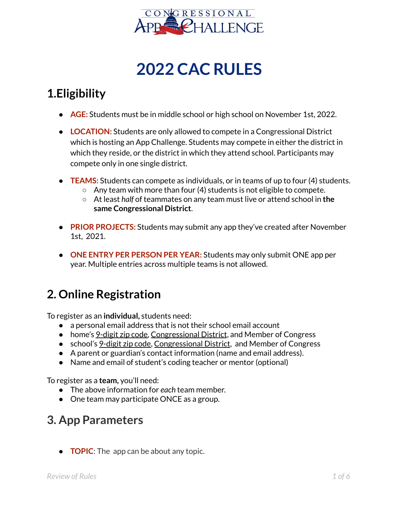

# **2022 CAC RULES**

#### **1.Eligibility**

- **AGE:** Students must be in middle school or high school on November 1st, 2022.
- LOCATION: Students are only allowed to compete in a Congressional District which is hosting an App Challenge. Students may compete in either the district in which they reside, or the district in which they attend school. Participants may compete only in one single district.
- **TEAMS:** Students can compete as individuals, or in teams of up to four (4) students.
	- $\circ$  Any team with more than four (4) students is not eligible to compete.
	- At least *half* of teammates on any team must live or attend school in **the same Congressional District**.
- **PRIOR PROJECTS:** Students may submit any app they've created after November 1st, 2021.
- **ONE ENTRY PER PERSON PER YEAR:** Students may only submit ONE app per year. Multiple entries across multiple teams is not allowed.

### **2. Online Registration**

To register as an **individual,** students need:

- a personal email address that is not their school email account
- home's [9-digit](https://tools.usps.com/go/ZipLookupAction_input) zip code, [Congressional](http://www.house.gov/representatives/find/) District, and Member of Congress
- school's [9-digit](https://tools.usps.com/go/ZipLookupAction_input) zip code, [Congressional](http://www.house.gov/representatives/find/) District, and Member of Congress
- A parent or guardian's contact information (name and email address).
- Name and email of student's coding teacher or mentor (optional)

To register as a **team,** you'll need:

- The above information for *each* team member.
- One team may participate ONCE as a group.

#### **3. App Parameters**

**• TOPIC:** The app can be about any topic.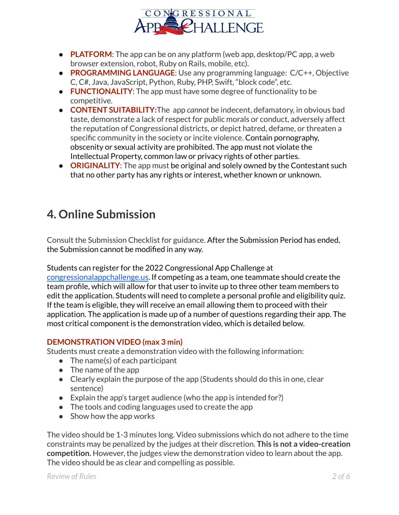

- **PLATFORM**: The app can be on any platform (web app, desktop/PC app, a web browser extension, robot, Ruby on Rails, mobile, etc).
- **PROGRAMMING LANGUAGE**: Use any programming language: C/C++, Objective C, C#, Java, JavaScript, Python, Ruby, PHP, Swift, "block code", etc.
- **FUNCTIONALITY**: The app must have some degree of functionality to be competitive.
- **CONTENT SUITABILITY:**The app *cannot* be indecent, defamatory, in obvious bad taste, demonstrate a lack of respect for public morals or conduct, adversely affect the reputation of Congressional districts, or depict hatred, defame, or threaten a specific community in the society or incite violence. Contain pornography, obscenity or sexual activity are prohibited. The app must not violate the Intellectual Property, common law or privacy rights of other parties.
- **ORIGINALITY:** The app must be original and solely owned by the Contestant such that no other party has any rights or interest, whether known or unknown.

## **4. Online Submission**

Consult the Submission Checklist for guidance. After the Submission Period has ended, the Submission cannot be modified in any way.

Students can register for the 2022 Congressional App Challenge at

[congressionalappchallenge.us.](https://www.congressionalappchallenge.us/) If competing as a team, one teammate should create the team profile, which will allow for that user to invite up to three other team members to edit the application. Students will need to complete a personal profile and eligibility quiz. If the team is eligible, they will receive an email allowing them to proceed with their application. The application is made up of a number of questions regarding their app. The most critical component is the demonstration video, which is detailed below.

#### **DEMONSTRATION VIDEO (max 3 min)**

Students must create a demonstration video with the following information:

- $\bullet$  The name(s) of each participant
- The name of the app
- Clearly explain the purpose of the app (Students should do this in one, clear sentence)
- $\bullet$  Explain the app's target audience (who the app is intended for?)
- The tools and coding languages used to create the app
- Show how the app works

The video should be 1-3 minutes long. Video submissions which do not adhere to the time constraints may be penalized by the judges at their discretion. **This is not a video-creation competition.** However, the judges view the demonstration video to learn about the app. The video should be as clear and compelling as possible.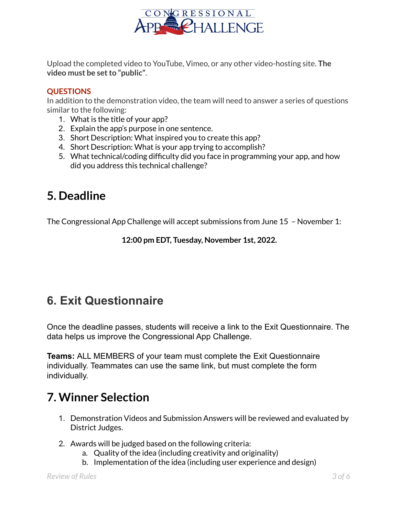

Upload the completed video to YouTube, Vimeo, or any other video-hosting site. **The video must be setto "public"**.

#### **QUESTIONS**

In addition to the demonstration video, the team will need to answer a series of questions similar to the following:

- 1. What is the title of your app?
- 2. Explain the app's purpose in one sentence.
- 3. Short Description: What inspired you to create this app?
- 4. Short Description: What is your app trying to accomplish?
- 5. What technical/coding difficulty did you face in programming your app, and how did you address this technical challenge?

#### **5. Deadline**

The Congressional App Challenge will accept submissions from June 15 – November 1:

**12:00 pm EDT, Tuesday, November 1st, 2022.**

# **6. Exit Questionnaire**

Once the deadline passes, students will receive a link to the Exit Questionnaire. The data helps us improve the Congressional App Challenge.

**Teams:** ALL MEMBERS of your team must complete the Exit Questionnaire individually. Teammates can use the same link, but must complete the form individually.

### **7. Winner Selection**

- 1. Demonstration Videos and Submission Answers will be reviewed and evaluated by District Judges.
- 2. Awards will be judged based on the following criteria:
	- a. Quality of the idea (including creativity and originality)
	- b. Implementation of the idea (including user experience and design)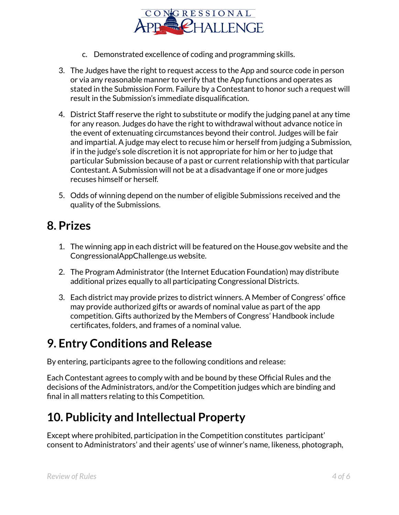

- c. Demonstrated excellence of coding and programming skills.
- 3. The Judges have the right to request access to the App and source code in person or via any reasonable manner to verify that the App functions and operates as stated in the Submission Form. Failure by a Contestant to honor such a request will result in the Submission's immediate disqualification.
- 4. District Staff reserve the right to substitute or modify the judging panel at any time for any reason. Judges do have the right to withdrawal without advance notice in the event of extenuating circumstances beyond their control. Judges will be fair and impartial. A judge may elect to recuse him or herself from judging a Submission, if in the judge's sole discretion it is not appropriate for him or her to judge that particular Submission because of a past or current relationship with that particular Contestant. A Submission will not be at a disadvantage if one or more judges recuses himself or herself.
- 5. Odds of winning depend on the number of eligible Submissions received and the quality of the Submissions.

#### **8. Prizes**

- 1. The winning app in each district will be featured on the House.gov website and the CongressionalAppChallenge.us website.
- 2. The Program Administrator (the Internet Education Foundation) may distribute additional prizes equally to all participating Congressional Districts.
- 3. Each district may provide prizes to district winners. A Member of Congress' office may provide authorized gifts or awards of nominal value as part of the app competition. Gifts authorized by the Members of Congress' Handbook include certificates, folders, and frames of a nominal value.

#### **9. Entry Conditions and Release**

By entering, participants agree to the following conditions and release:

Each Contestant agrees to comply with and be bound by these Official Rules and the decisions of the Administrators, and/or the Competition judges which are binding and final in all matters relating to this Competition.

### **10. Publicity and Intellectual Property**

Except where prohibited, participation in the Competition constitutes participant' consent to Administrators' and their agents' use of winner's name, likeness, photograph,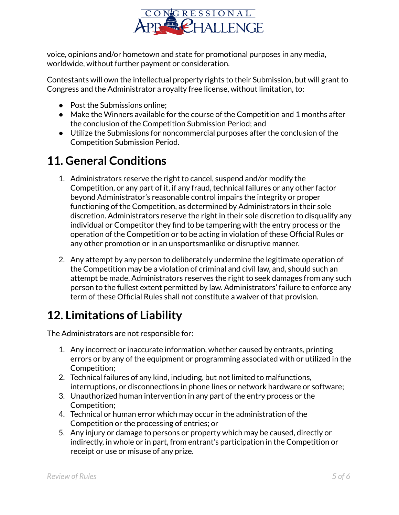

voice, opinions and/or hometown and state for promotional purposes in any media, worldwide, without further payment or consideration.

Contestants will own the intellectual property rights to their Submission, but will grant to Congress and the Administrator a royalty free license, without limitation, to:

- Post the Submissions online:
- Make the Winners available for the course of the Competition and 1 months after the conclusion of the Competition Submission Period; and
- Utilize the Submissions for noncommercial purposes after the conclusion of the Competition Submission Period.

## **11. General Conditions**

- 1. Administrators reserve the right to cancel, suspend and/or modify the Competition, or any part of it, if any fraud, technical failures or any other factor beyond Administrator's reasonable control impairs the integrity or proper functioning of the Competition, as determined by Administrators in their sole discretion. Administrators reserve the right in their sole discretion to disqualify any individual or Competitor they find to be tampering with the entry process or the operation of the Competition or to be acting in violation of these Official Rules or any other promotion or in an unsportsmanlike or disruptive manner.
- 2. Any attempt by any person to deliberately undermine the legitimate operation of the Competition may be a violation of criminal and civil law, and, should such an attempt be made, Administrators reserves the right to seek damages from any such person to the fullest extent permitted by law. Administrators' failure to enforce any term of these Official Rules shall not constitute a waiver of that provision.

# **12. Limitations of Liability**

The Administrators are not responsible for:

- 1. Any incorrect or inaccurate information, whether caused by entrants, printing errors or by any of the equipment or programming associated with or utilized in the Competition;
- 2. Technical failures of any kind, including, but not limited to malfunctions, interruptions, or disconnections in phone lines or network hardware or software;
- 3. Unauthorized human intervention in any part of the entry process or the Competition;
- 4. Technical or human error which may occur in the administration of the Competition or the processing of entries; or
- 5. Any injury or damage to persons or property which may be caused, directly or indirectly, in whole or in part, from entrant's participation in the Competition or receipt or use or misuse of any prize.